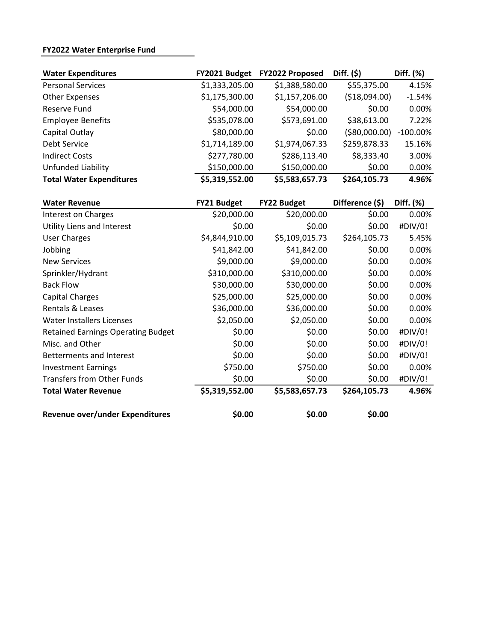# **FY2022 Water Enterprise Fund**

| <b>Water Expenditures</b>       | FY2021 Budget  | FY2022 Proposed | Diff. $(5)$    | Diff. (%)   |
|---------------------------------|----------------|-----------------|----------------|-------------|
| <b>Personal Services</b>        | \$1,333,205.00 | \$1,388,580.00  | \$55,375.00    | 4.15%       |
| <b>Other Expenses</b>           | \$1,175,300.00 | \$1,157,206.00  | ( \$18,094.00) | $-1.54%$    |
| Reserve Fund                    | \$54,000.00    | \$54,000.00     | \$0.00         | 0.00%       |
| <b>Employee Benefits</b>        | \$535,078.00   | \$573,691.00    | \$38,613.00    | 7.22%       |
| Capital Outlay                  | \$80,000.00    | \$0.00          | ( \$80,000.00) | $-100.00\%$ |
| Debt Service                    | \$1,714,189.00 | \$1,974,067.33  | \$259,878.33   | 15.16%      |
| <b>Indirect Costs</b>           | \$277,780.00   | \$286,113.40    | \$8,333.40     | 3.00%       |
| Unfunded Liability              | \$150,000.00   | \$150,000.00    | \$0.00         | 0.00%       |
| <b>Total Water Expenditures</b> | \$5,319,552.00 | \$5,583,657.73  | \$264,105.73   | 4.96%       |

| <b>Water Revenue</b>                      | FY21 Budget    | <b>FY22 Budget</b> | Difference (\$) | Diff. (%) |
|-------------------------------------------|----------------|--------------------|-----------------|-----------|
| Interest on Charges                       | \$20,000.00    | \$20,000.00        | \$0.00          | 0.00%     |
| Utility Liens and Interest                | \$0.00         | \$0.00             | \$0.00          | #DIV/0!   |
| <b>User Charges</b>                       | \$4,844,910.00 | \$5,109,015.73     | \$264,105.73    | 5.45%     |
| Jobbing                                   | \$41,842.00    | \$41,842.00        | \$0.00          | 0.00%     |
| <b>New Services</b>                       | \$9,000.00     | \$9,000.00         | \$0.00          | 0.00%     |
| Sprinkler/Hydrant                         | \$310,000.00   | \$310,000.00       | \$0.00          | 0.00%     |
| <b>Back Flow</b>                          | \$30,000.00    | \$30,000.00        | \$0.00          | 0.00%     |
| Capital Charges                           | \$25,000.00    | \$25,000.00        | \$0.00          | 0.00%     |
| Rentals & Leases                          | \$36,000.00    | \$36,000.00        | \$0.00          | 0.00%     |
| <b>Water Installers Licenses</b>          | \$2,050.00     | \$2,050.00         | \$0.00          | 0.00%     |
| <b>Retained Earnings Operating Budget</b> | \$0.00         | \$0.00             | \$0.00          | #DIV/0!   |
| Misc. and Other                           | \$0.00         | \$0.00             | \$0.00          | #DIV/0!   |
| <b>Betterments and Interest</b>           | \$0.00         | \$0.00             | \$0.00          | #DIV/0!   |
| <b>Investment Earnings</b>                | \$750.00       | \$750.00           | \$0.00          | 0.00%     |
| <b>Transfers from Other Funds</b>         | \$0.00         | \$0.00             | \$0.00          | #DIV/0!   |
| <b>Total Water Revenue</b>                | \$5,319,552.00 | \$5,583,657.73     | \$264,105.73    | 4.96%     |
| Revenue over/under Expenditures           | \$0.00         | \$0.00             | \$0.00          |           |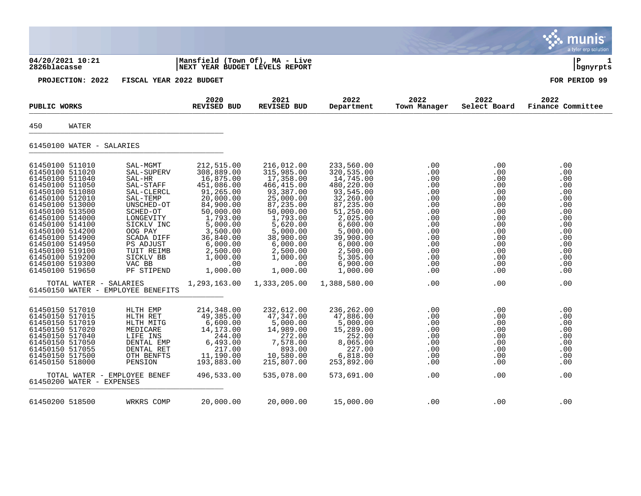|                                                                                                                                                                                                                                                                                                                                 |                                                                                                                                                                                                                       |                                                                                                                                                                                                                 |                                                                                                                                                                                                                 |                                                                                                                                                                                                                      |                                                                                                                     |                                                                                                                                          | a tyler erp solution                                                                                                |
|---------------------------------------------------------------------------------------------------------------------------------------------------------------------------------------------------------------------------------------------------------------------------------------------------------------------------------|-----------------------------------------------------------------------------------------------------------------------------------------------------------------------------------------------------------------------|-----------------------------------------------------------------------------------------------------------------------------------------------------------------------------------------------------------------|-----------------------------------------------------------------------------------------------------------------------------------------------------------------------------------------------------------------|----------------------------------------------------------------------------------------------------------------------------------------------------------------------------------------------------------------------|---------------------------------------------------------------------------------------------------------------------|------------------------------------------------------------------------------------------------------------------------------------------|---------------------------------------------------------------------------------------------------------------------|
| 04/20/2021 10:21<br>2826blacasse                                                                                                                                                                                                                                                                                                |                                                                                                                                                                                                                       | Mansfield (Town Of), MA - Live<br>NEXT YEAR BUDGET LEVELS REPORT                                                                                                                                                |                                                                                                                                                                                                                 |                                                                                                                                                                                                                      |                                                                                                                     |                                                                                                                                          | l P<br>bgnyrpts                                                                                                     |
| PROJECTION: 2022                                                                                                                                                                                                                                                                                                                | FISCAL YEAR 2022 BUDGET                                                                                                                                                                                               |                                                                                                                                                                                                                 |                                                                                                                                                                                                                 |                                                                                                                                                                                                                      |                                                                                                                     |                                                                                                                                          | FOR PERIOD 99                                                                                                       |
| PUBLIC WORKS                                                                                                                                                                                                                                                                                                                    |                                                                                                                                                                                                                       | 2020<br>REVISED BUD                                                                                                                                                                                             | 2021<br>REVISED BUD                                                                                                                                                                                             | 2022<br>Department                                                                                                                                                                                                   | 2022<br>Town Manager                                                                                                | 2022<br>Select Board                                                                                                                     | 2022<br>Finance Committee                                                                                           |
| 450<br>WATER                                                                                                                                                                                                                                                                                                                    |                                                                                                                                                                                                                       |                                                                                                                                                                                                                 |                                                                                                                                                                                                                 |                                                                                                                                                                                                                      |                                                                                                                     |                                                                                                                                          |                                                                                                                     |
| 61450100 WATER - SALARIES                                                                                                                                                                                                                                                                                                       |                                                                                                                                                                                                                       |                                                                                                                                                                                                                 |                                                                                                                                                                                                                 |                                                                                                                                                                                                                      |                                                                                                                     |                                                                                                                                          |                                                                                                                     |
| 61450100 511010<br>61450100 511020<br>61450100 511040<br>61450100 511050<br>61450100 511080<br>61450100 512010<br>61450100 513000<br>61450100 513500<br>61450100 514000<br>61450100 514100<br>61450100 514200<br>61450100 514900<br>61450100 514950<br>61450100 519100<br>61450100 519200<br>61450100 519300<br>61450100 519650 | SAL-MGMT<br>SAL-SUPERV<br>SAL-HR<br>SAL-STAFF<br>SAL-CLERCL<br>SAL-TEMP<br>UNSCHED-OT<br>SCHED-OT<br>LONGEVITY<br>SICKLV INC<br>OOG PAY<br>SCADA DIFF<br>PS ADJUST<br>TUIT REIMB<br>SICKLV BB<br>VAC BB<br>PF STIPEND | 212,515.00<br>308,889.00<br>16,875.00<br>451,086.00<br>91,265.00<br>20,000.00<br>84,900.00<br>50,000.00<br>1,793.00<br>5,000.00<br>3,500.00<br>36,840.00<br>6,000.00<br>2,500.00<br>1,000.00<br>.00<br>1,000.00 | 216,012.00<br>315,985.00<br>17,358.00<br>466,415.00<br>93,387.00<br>25,000.00<br>87,235.00<br>50,000.00<br>1,793.00<br>5,620.00<br>5,000.00<br>38,900.00<br>6,000.00<br>2,500.00<br>1,000.00<br>.00<br>1,000.00 | 233,560.00<br>320,535.00<br>14,745.00<br>480,220.00<br>93,545.00<br>32,260.00<br>87,235.00<br>51,250.00<br>2,025.00<br>6,600.00<br>5,000.00<br>39,900.00<br>6,000.00<br>2,500.00<br>5,305.00<br>6,900.00<br>1,000.00 | .00<br>.00<br>.00<br>.00<br>.00<br>.00<br>.00<br>.00<br>.00<br>.00<br>.00<br>.00<br>.00<br>.00<br>.00<br>.00<br>.00 | $.00 \,$<br>.00<br>.00<br>.00<br>.00.<br>$.00 \,$<br>.00<br>.00<br>.00<br>.00<br>.00<br>.00<br>$.00 \,$<br>.00<br>.00<br>.00<br>$.00 \,$ | .00<br>.00<br>.00<br>.00<br>.00<br>.00<br>.00<br>.00<br>.00<br>.00<br>.00<br>.00<br>.00<br>.00<br>.00<br>.00<br>.00 |
| TOTAL WATER - SALARIES                                                                                                                                                                                                                                                                                                          | 61450150 WATER - EMPLOYEE BENEFITS                                                                                                                                                                                    | 1,293,163.00                                                                                                                                                                                                    | 1,333,205.00                                                                                                                                                                                                    | 1,388,580.00                                                                                                                                                                                                         | .00                                                                                                                 | .00                                                                                                                                      | .00                                                                                                                 |
| 61450150 517010<br>61450150 517015<br>61450150 517019<br>61450150 517020<br>61450150 517040<br>61450150 517050<br>61450150 517055<br>61450150 517500<br>61450150 518000                                                                                                                                                         | HLTH EMP<br>HLTH RET<br>HLTH MITG<br>MEDICARE<br>LIFE INS<br>DENTAL EMP<br>DENTAL RET<br>OTH BENFTS<br>PENSION                                                                                                        | 214,348.00<br>49,385.00<br>6,600.00<br>14,173.00<br>244.00<br>6,493.00<br>217.00<br>11,190.00<br>193,883.00                                                                                                     | 232,612.00<br>47,347.00<br>5,000.00<br>14,989.00<br>272.00<br>7,578.00<br>893.00<br>10,580.00<br>215,807.00                                                                                                     | 236,262.00<br>47,886.00<br>5,000.00<br>15,289.00<br>252.00<br>8,065.00<br>227.00<br>6,818.00<br>253,892.00                                                                                                           | .00<br>.00<br>.00<br>.00<br>.00<br>.00<br>.00<br>.00<br>.00                                                         | $.00 \,$<br>$.00 \,$<br>.00<br>.00<br>$.00 \ \rm$<br>.00.<br>.00<br>.00<br>.00                                                           | .00<br>.00<br>.00<br>.00<br>.00<br>.00<br>.00<br>.00<br>.00                                                         |
| 61450200 WATER - EXPENSES                                                                                                                                                                                                                                                                                                       | TOTAL WATER - EMPLOYEE BENEF                                                                                                                                                                                          | 496,533.00                                                                                                                                                                                                      | 535,078.00                                                                                                                                                                                                      | 573,691.00                                                                                                                                                                                                           | .00                                                                                                                 | .00                                                                                                                                      | .00                                                                                                                 |
| 61450200 518500                                                                                                                                                                                                                                                                                                                 | WRKRS COMP                                                                                                                                                                                                            | 20,000.00                                                                                                                                                                                                       | 20,000.00                                                                                                                                                                                                       | 15,000.00                                                                                                                                                                                                            | .00                                                                                                                 | .00                                                                                                                                      | .00                                                                                                                 |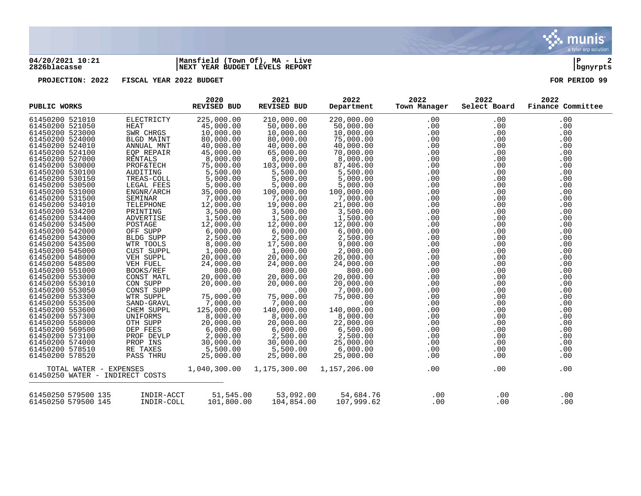

### **04/20/2021 10:21 |Mansfield (Town Of), MA - Live |P 2 2826blacasse |NEXT YEAR BUDGET LEVELS REPORT |bgnyrpts**

**PROJECTION: 2022 FISCAL YEAR 2022 BUDGET FOR PERIOD 99**

| PUBLIC WORKS                                                                                                                                                                                                                                                                                                                                                                                                                                                                                                                                                                                                                 |                                                                                                                                                                                                                                                                                                                                                                                                                  | 2020<br><b>REVISED BUD</b>                                                                                                                                                                                                                                                                                                                                                                                              | 2021<br>REVISED BUD                                                                                                                                                                                                                                                                                                                                                                                         | 2022<br>Department                                                                                                                                                                                                                                                                                                                                                                                        | 2022<br>Town Manager | 2022<br>Select Board                                                                                                                                                                                                              | 2022<br>Finance Committee                                                                                                                                                                                                    |
|------------------------------------------------------------------------------------------------------------------------------------------------------------------------------------------------------------------------------------------------------------------------------------------------------------------------------------------------------------------------------------------------------------------------------------------------------------------------------------------------------------------------------------------------------------------------------------------------------------------------------|------------------------------------------------------------------------------------------------------------------------------------------------------------------------------------------------------------------------------------------------------------------------------------------------------------------------------------------------------------------------------------------------------------------|-------------------------------------------------------------------------------------------------------------------------------------------------------------------------------------------------------------------------------------------------------------------------------------------------------------------------------------------------------------------------------------------------------------------------|-------------------------------------------------------------------------------------------------------------------------------------------------------------------------------------------------------------------------------------------------------------------------------------------------------------------------------------------------------------------------------------------------------------|-----------------------------------------------------------------------------------------------------------------------------------------------------------------------------------------------------------------------------------------------------------------------------------------------------------------------------------------------------------------------------------------------------------|----------------------|-----------------------------------------------------------------------------------------------------------------------------------------------------------------------------------------------------------------------------------|------------------------------------------------------------------------------------------------------------------------------------------------------------------------------------------------------------------------------|
| 61450200 521010<br>61450200 521050<br>61450200 523000<br>61450200 524000<br>61450200 524010<br>61450200 524100<br>61450200 527000<br>61450200 530000<br>61450200 530100<br>61450200 530150<br>61450200 530500<br>61450200 531000<br>61450200 531500<br>61450200 534010<br>61450200 534200<br>61450200 534400<br>61450200 534500<br>61450200 542000<br>61450200 543000<br>61450200 543500<br>61450200 545000<br>61450200 548000<br>61450200 548500<br>61450200 551000<br>61450200 553000<br>61450200 553010<br>61450200 553050<br>61450200 553300<br>61450200 553500<br>61450200 553600<br>61450200 557300<br>61450200 558000 | ELECTRICTY<br><b>HEAT</b><br>SWR CHRGS<br>BLGD MAINT<br>ANNUAL MNT<br>EQP REPAIR<br>RENTALS<br><b>PROF&amp;TECH</b><br>AUDITING<br>TREAS-COLL<br>LEGAL FEES<br>ENGNR/ARCH<br>SEMINAR<br>TELEPHONE<br>PRINTING<br>ADVERTISE<br>POSTAGE<br>OFF SUPP<br>BLDG SUPP<br>WTR TOOLS<br>CUST SUPPL<br>VEH SUPPL<br>VEH FUEL<br>BOOKS/REF<br>CONST MATL<br>CON SUPP<br>CONST SUPP<br>WTR SUPPL<br>SAND-GRAVL<br>CHEM SUPPL | 225,000.00<br>45,000.00<br>10,000.00<br>80,000.00<br>40,000.00<br>45,000.00<br>8,000.00<br>75,000.00<br>5,500.00<br>5,000.00<br>5,000.00<br>35,000.00<br>7,000.00<br>12,000.00<br>3,500.00<br>1,500.00<br>12,000.00<br>6,000.00<br>2,500.00<br>8,000.00<br>1,000.00<br>20,000.00<br>24,000.00<br>800.00<br>20,000.00<br>20,000.00<br>.00<br>75,000.00<br>$7,000.00$ $125.000.00$<br>125,000.00<br>8,000.00<br>20,000.00 | 210,000.00<br>50,000.00<br>10,000.00<br>80,000.00<br>40,000.00<br>65,000.00<br>8,000.00<br>103,000.00<br>5,500.00<br>5,000.00<br>5,000.00<br>100,000.00<br>7,000.00<br>19,000.00<br>3,500.00<br>1,500.00<br>12,000.00<br>6,000.00<br>2,500.00<br>17,500.00<br>1,000.00<br>20,000.00<br>24,000.00<br>800.00<br>20,000.00<br>20,000.00<br>.00<br>75,000.00<br>7,000.00<br>140,000.00<br>8,000.00<br>20,000.00 | 220,000.00<br>50,000.00<br>10,000.00<br>75,000.00<br>40,000.00<br>70,000.00<br>8,000.00<br>87,406.00<br>5,500.00<br>5,000.00<br>5,000.00<br>100,000.00<br>7,000.00<br>21,000.00<br>3,500.00<br>1,500.00<br>12,000.00<br>6,000.00<br>2,500.00<br>9,000.00<br>2,000.00<br>20,000.00<br>24,000.00<br>800.00<br>20,000.00<br>20,000.00<br>7,000.00<br>75,000.00<br>.00<br>140,000.00<br>8,000.00<br>22,000.00 | .00<br>.00           | .00<br>.00<br>.00<br>.00<br>.00<br>.00<br>.00<br>.00<br>.00<br>.00<br>.00<br>.00<br>.00<br>.00<br>.00<br>.00<br>.00<br>.00<br>.00<br>.00<br>.00<br>.00<br>.00<br>.00<br>.00<br>.00<br>$.00 \,$<br>.00<br>.00<br>.00<br>.00<br>.00 | .00<br>.00<br>.00<br>.00<br>.00<br>.00<br>.00<br>.00<br>.00<br>.00<br>.00<br>.00<br>.00<br>.00<br>.00<br>.00<br>.00<br>.00<br>.00<br>.00<br>.00<br>.00<br>.00<br>.00<br>.00<br>.00<br>.00<br>.00<br>.00<br>.00<br>.00<br>.00 |
| 61450200 569500<br>61450200 573100<br>61450200 574000<br>61450200 578510<br>61450200 578520                                                                                                                                                                                                                                                                                                                                                                                                                                                                                                                                  | UNIFORMS<br>OTH SUPP<br>OTH SUPP<br>DEP FEES<br>PROF DEVLP<br>PROP INS<br>RE TAXES<br>PASS THRU                                                                                                                                                                                                                                                                                                                  | 6,000.00<br>2,000.00<br>30,000.00<br>5,500.00<br>25,000.00                                                                                                                                                                                                                                                                                                                                                              | 6,000.00<br>$2,500.00$<br>30.000.00<br>30,000.00<br>5,500.00<br>25,000.00                                                                                                                                                                                                                                                                                                                                   | 6,500.00<br>2,500.00<br>25,000.00<br>6,000.00<br>25,000.00                                                                                                                                                                                                                                                                                                                                                | .00                  | $.00 \,$<br>.00<br>.00<br>.00<br>$.00 \,$                                                                                                                                                                                         | .00<br>.00<br>.00<br>.00<br>.00                                                                                                                                                                                              |
| TOTAL WATER - EXPENSES<br>61450250 WATER - INDIRECT COSTS                                                                                                                                                                                                                                                                                                                                                                                                                                                                                                                                                                    |                                                                                                                                                                                                                                                                                                                                                                                                                  | 1,040,300.00                                                                                                                                                                                                                                                                                                                                                                                                            | 1,175,300.00                                                                                                                                                                                                                                                                                                                                                                                                | 1,157,206.00                                                                                                                                                                                                                                                                                                                                                                                              | .00                  | .00                                                                                                                                                                                                                               | .00                                                                                                                                                                                                                          |
| 61450250 579500 135<br>61450250 579500 145                                                                                                                                                                                                                                                                                                                                                                                                                                                                                                                                                                                   | INDIR-ACCT<br>INDIR-COLL                                                                                                                                                                                                                                                                                                                                                                                         | 51,545.00<br>101,800.00                                                                                                                                                                                                                                                                                                                                                                                                 | 53,092.00<br>104,854.00                                                                                                                                                                                                                                                                                                                                                                                     | 54,684.76<br>107,999.62                                                                                                                                                                                                                                                                                                                                                                                   | .00<br>.00           | .00<br>.00                                                                                                                                                                                                                        | .00<br>.00                                                                                                                                                                                                                   |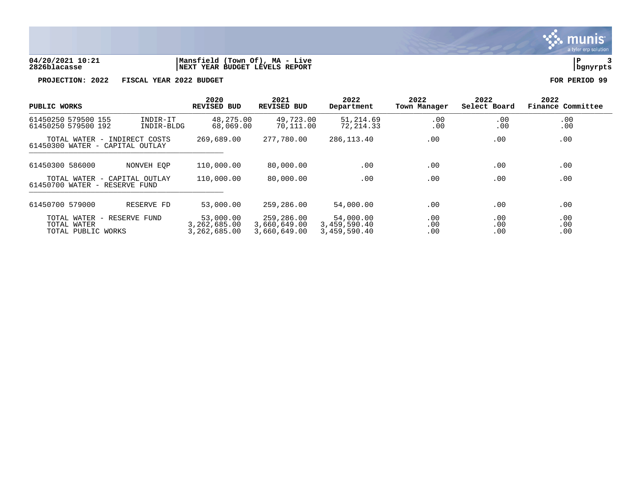

### **04/20/2021 10:21 |Mansfield (Town Of), MA - Live |P 3 2826blacasse |NEXT YEAR BUDGET LEVELS REPORT |bgnyrpts**

**PROJECTION: 2022 FISCAL YEAR 2022 BUDGET FOR PERIOD 99**

| PUBLIC WORKS                                                                         | 2020<br>REVISED BUD                       | 2021<br><b>REVISED BUD</b>                 | 2022<br>Department                        | 2022<br>Town Manager | 2022<br>Select Board | 2022<br>Finance Committee |
|--------------------------------------------------------------------------------------|-------------------------------------------|--------------------------------------------|-------------------------------------------|----------------------|----------------------|---------------------------|
| 61450250 579500 155<br>INDIR-IT<br>61450250 579500 192<br>INDIR-BLDG                 | 48,275.00<br>68,069.00                    | 49,723.00<br>70,111.00                     | 51,214.69<br>72,214.33                    | .00<br>.00           | .00<br>.00           | .00<br>.00                |
| TOTAL WATER - INDIRECT COSTS<br>61450300 WATER - CAPITAL OUTLAY                      | 269,689.00                                | 277,780.00                                 | 286,113.40                                | .00                  | .00                  | .00                       |
| 61450300 586000<br>NONVEH EOP                                                        | 110,000.00                                | 80,000.00                                  | $.00 \,$                                  | .00                  | .00                  | .00                       |
| TOTAL WATER - CAPITAL OUTLAY<br>61450700 WATER - RESERVE FUND                        | 110,000.00                                | 80,000.00                                  | .00                                       | .00                  | .00                  | .00                       |
| 61450700 579000<br>RESERVE FD                                                        | 53,000.00                                 | 259,286.00                                 | 54,000.00                                 | .00                  | .00                  | .00                       |
| TOTAL WATER<br>RESERVE FUND<br>$\hspace{0.1mm}$<br>TOTAL WATER<br>TOTAL PUBLIC WORKS | 53,000.00<br>3,262,685.00<br>3,262,685.00 | 259,286.00<br>3,660,649.00<br>3,660,649.00 | 54,000.00<br>3,459,590.40<br>3,459,590.40 | .00<br>.00<br>.00    | .00<br>.00<br>.00    | .00<br>.00<br>.00         |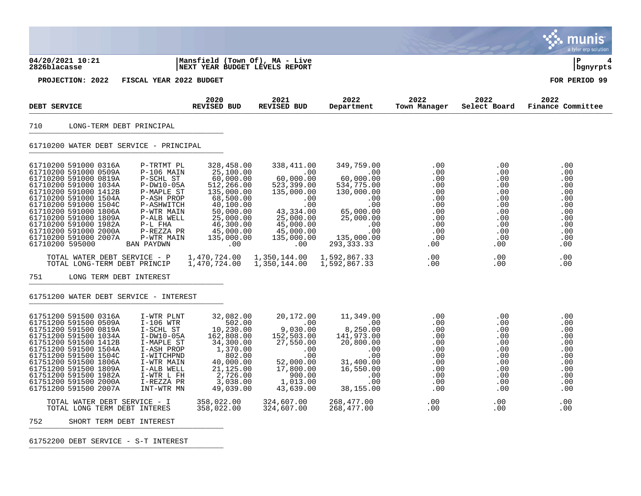|                                                                                                                                                                                                                                                                                                                                                                                                                                                                                                                                                                                     |                                                                                                                                                                                                     |                                                                                                                                                                                         |                                                                                                                                                                                      |                                                                                                                           |                                                                                                                 | a tyler erp solution                                                                                  |
|-------------------------------------------------------------------------------------------------------------------------------------------------------------------------------------------------------------------------------------------------------------------------------------------------------------------------------------------------------------------------------------------------------------------------------------------------------------------------------------------------------------------------------------------------------------------------------------|-----------------------------------------------------------------------------------------------------------------------------------------------------------------------------------------------------|-----------------------------------------------------------------------------------------------------------------------------------------------------------------------------------------|--------------------------------------------------------------------------------------------------------------------------------------------------------------------------------------|---------------------------------------------------------------------------------------------------------------------------|-----------------------------------------------------------------------------------------------------------------|-------------------------------------------------------------------------------------------------------|
| 04/20/2021 10:21<br>2826blacasse                                                                                                                                                                                                                                                                                                                                                                                                                                                                                                                                                    | Mansfield (Town Of), MA - Live<br>NEXT YEAR BUDGET LEVELS REPORT                                                                                                                                    |                                                                                                                                                                                         |                                                                                                                                                                                      |                                                                                                                           |                                                                                                                 | ΙP<br>  bgnyrpts                                                                                      |
| PROJECTION: 2022                                                                                                                                                                                                                                                                                                                                                                                                                                                                                                                                                                    | FISCAL YEAR 2022 BUDGET                                                                                                                                                                             |                                                                                                                                                                                         |                                                                                                                                                                                      |                                                                                                                           |                                                                                                                 | FOR PERIOD 99                                                                                         |
| DEBT SERVICE                                                                                                                                                                                                                                                                                                                                                                                                                                                                                                                                                                        | 2020<br>REVISED BUD                                                                                                                                                                                 | 2021<br><b>REVISED BUD</b>                                                                                                                                                              | 2022<br>Department                                                                                                                                                                   | 2022<br>Town Manager                                                                                                      | 2022<br>Select Board                                                                                            | 2022<br>Finance Committee                                                                             |
| 710<br>LONG-TERM DEBT PRINCIPAL                                                                                                                                                                                                                                                                                                                                                                                                                                                                                                                                                     |                                                                                                                                                                                                     |                                                                                                                                                                                         |                                                                                                                                                                                      |                                                                                                                           |                                                                                                                 |                                                                                                       |
| 61710200 WATER DEBT SERVICE - PRINCIPAL                                                                                                                                                                                                                                                                                                                                                                                                                                                                                                                                             |                                                                                                                                                                                                     |                                                                                                                                                                                         |                                                                                                                                                                                      |                                                                                                                           |                                                                                                                 |                                                                                                       |
| 61710200 591000 0316A<br>P-TRTMT PL<br>$P-106$ MAIN<br>61710200 591000 0509A<br>P-SCHL ST<br>61710200 591000 0819A<br>61710200 591000 1034A<br>$P-DW10-05A$<br>61710200 591000 1412B<br>P-MAPLE ST<br>61710200 591000 1504A<br>P-ASH PROP<br>61710200 591000 1504C<br>P-ASHWITCH<br>61710200 591000 1806A<br>P-WTR MAIN<br>61710200 591000 1809A<br>P-ALB WELL<br>$P-L$ FHA<br>61710200 591000 1982A<br>61710200 591000 2000A<br>P-REZZA PR<br>61710200 591000 2007A<br>P-WTR MAIN<br>61710200 595000<br>BAN PAYDWN<br>TOTAL WATER DEBT SERVICE - P<br>TOTAL LONG-TERM DEBT PRINCIP | 328,458.00<br>25,100.00<br>60,000.00<br>512,266.00<br>135,000.00<br>68,500.00<br>40,100.00<br>50,000.00<br>25,000.00<br>46,300.00<br>45,000.00<br>135,000.00<br>.00<br>1,470,724.00<br>1,470,724.00 | 338,411.00<br>$\sim 00$<br>60,000.00<br>523,399.00<br>135,000.00<br>.00<br>.00<br>43,334.00<br>25,000.00<br>45,000.00<br>45,000.00<br>135,000.00<br>.00<br>1,350,144.00<br>1,350,144.00 | 349,759.00<br>$\sim 00$<br>60,000.00<br>534,775.00<br>130,000.00<br>.00<br>.00<br>65,000.00<br>25,000.00<br>.00<br>.00<br>135,000.00<br>293, 333. 33<br>1,592,867.33<br>1,592,867.33 | .00<br>$.00 \,$<br>$.00 \,$<br>.00<br>.00<br>.00<br>$.00 \,$<br>.00<br>.00<br>.00<br>.00<br>.00<br>$.00 \,$<br>.00<br>.00 | .00<br>.00<br>.00<br>.00<br>.00<br>.00<br>.00<br>.00<br>.00<br>.00<br>.00<br>.00<br>$.00 \,$<br>.00<br>$.00 \,$ | .00<br>.00<br>.00<br>.00<br>.00<br>.00<br>.00<br>.00<br>.00<br>.00<br>.00<br>.00<br>.00<br>.00<br>.00 |
| 751<br>LONG TERM DEBT INTEREST                                                                                                                                                                                                                                                                                                                                                                                                                                                                                                                                                      |                                                                                                                                                                                                     |                                                                                                                                                                                         |                                                                                                                                                                                      |                                                                                                                           |                                                                                                                 |                                                                                                       |
| 61751200 WATER DEBT SERVICE - INTEREST                                                                                                                                                                                                                                                                                                                                                                                                                                                                                                                                              |                                                                                                                                                                                                     |                                                                                                                                                                                         |                                                                                                                                                                                      |                                                                                                                           |                                                                                                                 |                                                                                                       |
| 61751200 591500 0316A<br>I-WTR PLNT<br>61751200 591500 0509A<br>I-106 WTR<br>I-SCHL ST<br>61751200 591500 0819A<br>$I-DW10-05A$<br>61751200 591500 1034A<br>61751200 591500 1412B<br>I-MAPLE ST<br>61751200 591500 1504A<br>I-ASH PROP<br>61751200 591500 1504C<br>I-WITCHPND<br>61751200 591500 1806A<br>I-WTR MAIN<br>61751200 591500 1809A<br>I-ALB WELL<br>61751200 591500 1982A<br>I-WTR L FH<br>61751200 591500 2000A<br>I-REZZA PR<br>61751200 591500 2007A<br>INT-WTR MN                                                                                                    | 32,082.00<br>502.00<br>10,230.00<br>162,808.00<br>34,300.00<br>1,370.00<br>802.00<br>40,000.00<br>21,125.00<br>2,726.00<br>3,038.00<br>49,039.00                                                    | 20,172.00<br>.00<br>9,030.00<br>152,503.00<br>27,550.00<br>.00<br>.00<br>52,000.00<br>17,800.00<br>900.00<br>1,013.00<br>43,639.00                                                      | 11,349.00<br>.00<br>8,250.00<br>141,973.00<br>20,800.00<br>.00<br>$.00 \,$<br>31,400.00<br>16,550.00<br>.00<br>$.00 \,$<br>38,155.00                                                 | .00<br>$.00 \,$<br>.00<br>.00<br>$.00 \,$<br>.00<br>.00<br>.00<br>.00<br>.00<br>.00<br>.00                                | .00<br>.00<br>.00<br>.00<br>.00<br>.00<br>.00<br>.00<br>.00<br>.00<br>.00<br>.00                                | .00<br>.00<br>.00<br>.00<br>.00<br>.00<br>.00<br>.00<br>.00<br>.00<br>.00<br>.00                      |
| TOTAL WATER DEBT SERVICE - I<br>TOTAL LONG TERM DEBT INTERES                                                                                                                                                                                                                                                                                                                                                                                                                                                                                                                        | 358,022.00<br>358,022.00                                                                                                                                                                            | 324,607.00<br>324,607.00                                                                                                                                                                | 268,477.00<br>268,477.00                                                                                                                                                             | $.00 \,$<br>$.00 \,$                                                                                                      | $.00 \,$<br>$.00 \,$                                                                                            | .00<br>.00                                                                                            |
| 752<br>SHORT TERM DEBT INTEREST                                                                                                                                                                                                                                                                                                                                                                                                                                                                                                                                                     |                                                                                                                                                                                                     |                                                                                                                                                                                         |                                                                                                                                                                                      |                                                                                                                           |                                                                                                                 |                                                                                                       |

61752200 DEBT SERVICE - S-T INTEREST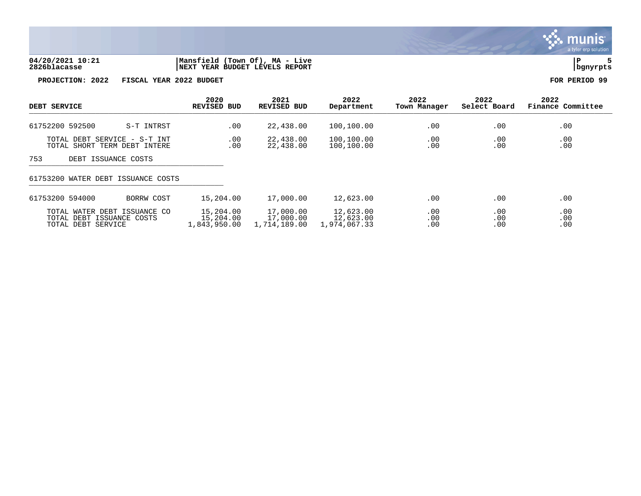

## **04/20/2021 10:21 |Mansfield (Town Of), MA - Live |P 5 2826blacasse |NEXT YEAR BUDGET LEVELS REPORT |bgnyrpts**

**PROJECTION: 2022 FISCAL YEAR 2022 BUDGET FOR PERIOD 99**

| DEBT SERVICE                                                                    | 2020<br><b>REVISED BUD</b>             | 2021<br><b>REVISED BUD</b>             | 2022<br>Department                     | 2022<br>Town Manager | 2022<br>Select Board | 2022<br>Finance Committee |
|---------------------------------------------------------------------------------|----------------------------------------|----------------------------------------|----------------------------------------|----------------------|----------------------|---------------------------|
| 61752200 592500<br>S-T INTRST                                                   | .00                                    | 22,438.00                              | 100,100.00                             | .00                  | .00                  | .00                       |
| TOTAL DEBT SERVICE - S-T INT<br>TOTAL SHORT TERM DEBT INTERE                    | .00<br>.00                             | 22,438.00<br>22,438.00                 | 100,100.00<br>100,100.00               | .00<br>.00           | .00<br>.00           | .00<br>.00                |
| 753<br>DEBT ISSUANCE COSTS                                                      |                                        |                                        |                                        |                      |                      |                           |
| 61753200 WATER DEBT ISSUANCE COSTS                                              |                                        |                                        |                                        |                      |                      |                           |
| 61753200 594000<br>BORRW COST                                                   | 15,204.00                              | 17,000.00                              | 12,623.00                              | .00                  | .00                  | .00                       |
| TOTAL WATER DEBT ISSUANCE CO<br>TOTAL DEBT ISSUANCE COSTS<br>TOTAL DEBT SERVICE | 15,204.00<br>15,204.00<br>1,843,950.00 | 17,000.00<br>17,000.00<br>1,714,189.00 | 12,623.00<br>12,623.00<br>1,974,067.33 | .00<br>.00<br>.00    | .00<br>.00<br>.00    | .00<br>.00<br>.00         |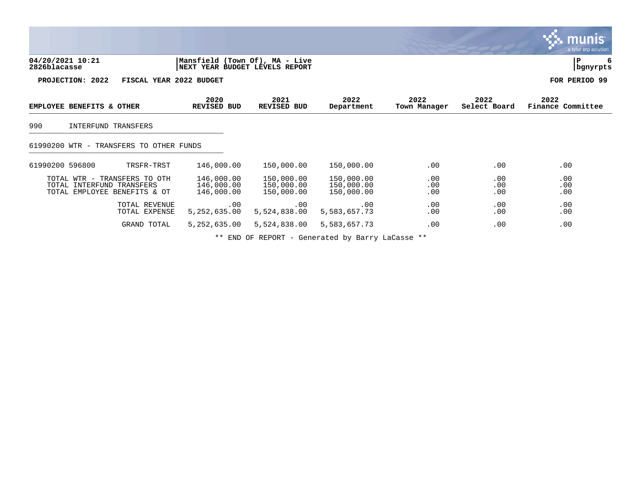|                                                                                           |                                                                  |                                        |                                        |                      |                      | munis<br>a tyler erp solution, |
|-------------------------------------------------------------------------------------------|------------------------------------------------------------------|----------------------------------------|----------------------------------------|----------------------|----------------------|--------------------------------|
| 04/20/2021 10:21<br>2826blacasse                                                          | Mansfield (Town Of), MA - Live<br>NEXT YEAR BUDGET LEVELS REPORT |                                        |                                        |                      |                      | ΙP<br>  bgnyrpts               |
| PROJECTION: 2022                                                                          | FISCAL YEAR 2022 BUDGET                                          |                                        |                                        |                      |                      | FOR PERIOD 99                  |
| EMPLOYEE BENEFITS & OTHER                                                                 | 2020<br>REVISED BUD                                              | 2021<br>REVISED BUD                    | 2022<br>Department                     | 2022<br>Town Manager | 2022<br>Select Board | 2022<br>Finance Committee      |
| 990<br>INTERFUND TRANSFERS                                                                |                                                                  |                                        |                                        |                      |                      |                                |
| 61990200 WTR - TRANSFERS TO OTHER FUNDS                                                   |                                                                  |                                        |                                        |                      |                      |                                |
| 61990200 596800<br>TRSFR-TRST                                                             | 146,000.00                                                       | 150,000.00                             | 150,000.00                             | $.00 \,$             | .00                  | .00                            |
| TOTAL WTR - TRANSFERS TO OTH<br>TOTAL INTERFUND TRANSFERS<br>TOTAL EMPLOYEE BENEFITS & OT | 146,000.00<br>146,000.00<br>146,000.00                           | 150,000.00<br>150,000.00<br>150,000.00 | 150,000.00<br>150,000.00<br>150,000.00 | .00<br>.00<br>.00    | .00<br>.00<br>.00    | .00<br>.00<br>.00              |
| TOTAL REVENUE<br>TOTAL EXPENSE                                                            | .00<br>5, 252, 635.00                                            | .00<br>5,524,838.00                    | .00<br>5,583,657.73                    | .00<br>.00           | .00<br>.00           | .00<br>.00                     |
| GRAND TOTAL                                                                               | 5, 252, 635.00                                                   | 5,524,838.00                           | 5,583,657.73                           | .00                  | .00                  | .00                            |

\*\* END OF REPORT - Generated by Barry LaCasse \*\*